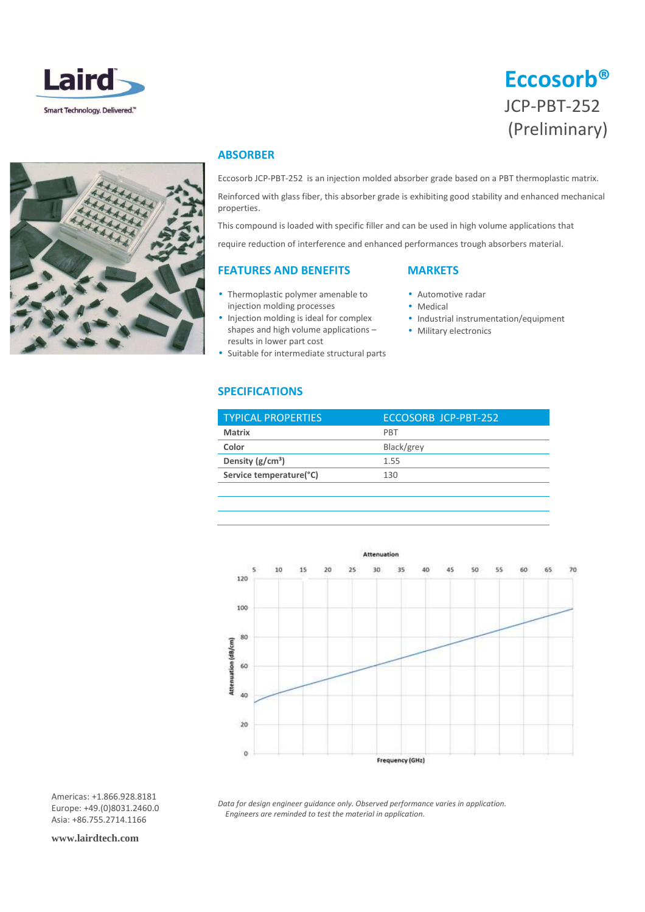





# **ABSORBER**

Eccosorb JCP-PBT-252 is an injection molded absorber grade based on a PBT thermoplastic matrix.

Reinforced with glass fiber, this absorber grade is exhibiting good stability and enhanced mechanical properties.

This compound is loaded with specific filler and can be used in high volume applications that require reduction of interference and enhanced performances trough absorbers material.

# **FEATURES AND BENEFITS**

- 
- Thermoplastic polymer amenable to injection molding processes
- Injection molding is ideal for complex shapes and high volume applications – results in lower part cost
- Suitable for intermediate structural parts

# **MARKETS**

- Automotive radar
- Medical
- Industrial instrumentation/equipment
- Military electronics

# **SPECIFICATIONS**

| <b>TYPICAL PROPERTIES</b> | ECCOSORB JCP-PBT-252 |
|---------------------------|----------------------|
| <b>Matrix</b>             | <b>PRT</b>           |
| Color                     | Black/grey           |
| Density $(g/cm^3)$        | 1.55                 |
| Service temperature(°C)   | 130                  |
|                           |                      |



*Data for design engineer guidance only. Observed performance varies in application. Engineers are reminded to test the material in application.* 

Americas: +1.866.928.8181 Europe: +49.(0)8031.2460.0 Asia: +86.755.2714.1166

**www.lairdtech.com**